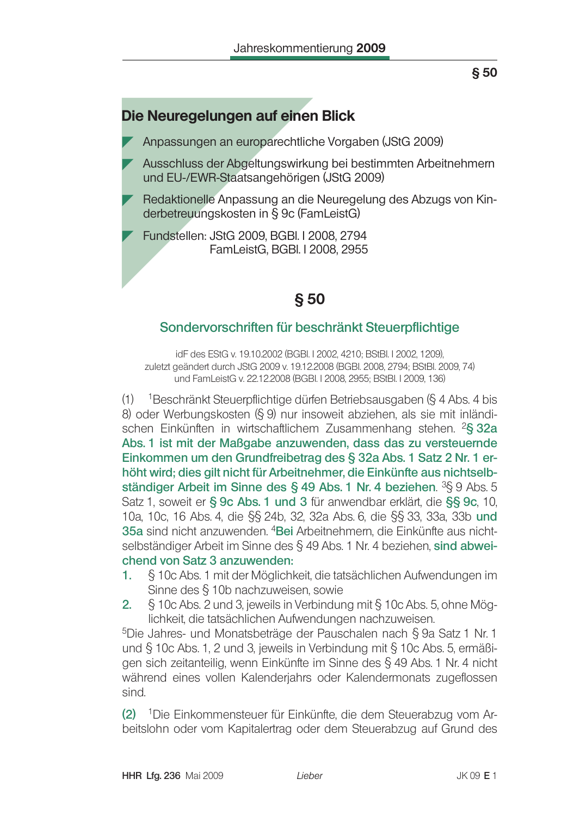# Die Neuregelungen auf einen Blick

Anpassungen an europarechtliche Vorgaben (JStG 2009)

- Ausschluss der Abgeltungswirkung bei bestimmten Arbeitnehmern und EU-/EWR-Staatsangehörigen (JStG 2009)
- Redaktionelle Anpassung an die Neuregelung des Abzugs von Kinderbetreuungskosten in § 9c (FamLeistG)
- Fundstellen: JStG 2009, BGBI, I 2008, 2794 FamLeistG, BGBI. I 2008, 2955

# $$50$

## Sondervorschriften für beschränkt Steuerpflichtige

idF des EStG v. 19.10.2002 (BGBI. I 2002, 4210; BStBI. I 2002, 1209), zuletzt geändert durch JStG 2009 v. 19.12.2008 (BGBI. 2008, 2794; BStBI. 2009, 74) und FamLeistG v. 22.12.2008 (BGBI. I 2008, 2955; BStBI. I 2009, 136)

 $(1)$ <sup>1</sup> Beschränkt Steuerpflichtige dürfen Betriebsausgaben (§ 4 Abs. 4 bis 8) oder Werbungskosten (§ 9) nur insoweit abziehen, als sie mit inländischen Einkünften in wirtschaftlichem Zusammenhang stehen. <sup>2</sup>§ 32a Abs. 1 ist mit der Maßgabe anzuwenden, dass das zu versteuernde Einkommen um den Grundfreibetrag des § 32a Abs. 1 Satz 2 Nr. 1 erhöht wird; dies gilt nicht für Arbeitnehmer, die Einkünfte aus nichtselbständiger Arbeit im Sinne des § 49 Abs. 1 Nr. 4 beziehen.  ${}^{3}S_{1}$ 9 Abs. 5 Satz 1, soweit er § 9c Abs. 1 und 3 für anwendbar erklärt, die §§ 9c, 10, 10a, 10c, 16 Abs. 4, die §§ 24b, 32, 32a Abs. 6, die §§ 33, 33a, 33b und 35a sind nicht anzuwenden. <sup>4</sup>Bei Arbeitnehmern, die Einkünfte aus nichtselbständiger Arbeit im Sinne des § 49 Abs. 1 Nr. 4 beziehen, sind abweichend von Satz 3 anzuwenden:

- § 10c Abs. 1 mit der Möglichkeit, die tatsächlichen Aufwendungen im 1. Sinne des § 10b nachzuweisen, sowie
- § 10c Abs. 2 und 3, jeweils in Verbindung mit § 10c Abs. 5, ohne Mög- $2.$ lichkeit, die tatsächlichen Aufwendungen nachzuweisen.

<sup>5</sup>Die Jahres- und Monatsbeträge der Pauschalen nach § 9a Satz 1 Nr. 1 und § 10c Abs. 1, 2 und 3, jeweils in Verbindung mit § 10c Abs. 5, ermäßigen sich zeitanteilig, wenn Einkünfte im Sinne des § 49 Abs. 1 Nr. 4 nicht während eines vollen Kalenderjahrs oder Kalendermonats zugeflossen sind.

(2) <sup>1</sup>Die Einkommensteuer für Einkünfte, die dem Steuerabzug vom Arbeitslohn oder vom Kapitalertrag oder dem Steuerabzug auf Grund des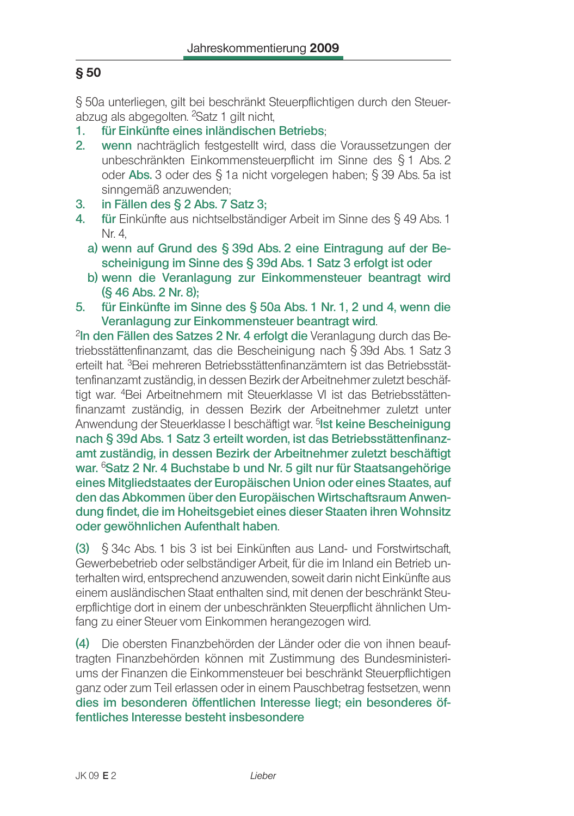§ 50a unterliegen, gilt bei beschränkt Steuerpflichtigen durch den Steuerabzug als abgegolten. <sup>2</sup>Satz 1 gilt nicht.

- für Einkünfte eines inländischen Betriebs: 1.
- wenn nachträglich festgestellt wird, dass die Voraussetzungen der  $2<sup>1</sup>$ unbeschränkten Einkommensteuerpflicht im Sinne des § 1 Abs. 2 oder Abs. 3 oder des § 1a nicht vorgelegen haben; § 39 Abs. 5a ist sinngemäß anzuwenden:
- in Fällen des § 2 Abs. 7 Satz 3: 3.
- für Einkünfte aus nichtselbständiger Arbeit im Sinne des § 49 Abs. 1 4. Nr. 4.
	- a) wenn auf Grund des § 39d Abs. 2 eine Eintragung auf der Bescheinigung im Sinne des § 39d Abs. 1 Satz 3 erfolgt ist oder
	- b) wenn die Veranlagung zur Einkommensteuer beantragt wird (§ 46 Abs. 2 Nr. 8);
- 5. für Einkünfte im Sinne des § 50a Abs. 1 Nr. 1, 2 und 4, wenn die Veranlagung zur Einkommensteuer beantragt wird.

<sup>2</sup>In den Fällen des Satzes 2 Nr. 4 erfolgt die Veranlagung durch das Betriebsstättenfinanzamt, das die Bescheinigung nach § 39d Abs. 1 Satz 3 erteilt hat. <sup>3</sup> Bei mehreren Betriebsstättenfinanzämtern ist das Betriebsstättenfinanzamt zuständig, in dessen Bezirk der Arbeitnehmer zuletzt beschäftigt war. <sup>4</sup> Bei Arbeitnehmern mit Steuerklasse VI ist das Betriebsstättenfinanzamt zuständig, in dessen Bezirk der Arbeitnehmer zuletzt unter Anwendung der Steuerklasse I beschäftigt war. <sup>5</sup>Ist keine Bescheinigung nach § 39d Abs. 1 Satz 3 erteilt worden, ist das Betriebsstättenfinanzamt zuständig, in dessen Bezirk der Arbeitnehmer zuletzt beschäftigt war. <sup>6</sup>Satz 2 Nr. 4 Buchstabe b und Nr. 5 gilt nur für Staatsangehörige eines Mitgliedstaates der Europäischen Union oder eines Staates, auf den das Abkommen über den Europäischen Wirtschaftsraum Anwendung findet, die im Hoheitsgebiet eines dieser Staaten ihren Wohnsitz oder gewöhnlichen Aufenthalt haben.

 $(3)$  § 34c Abs. 1 bis 3 ist bei Einkünften aus Land- und Forstwirtschaft, Gewerbebetrieb oder selbständiger Arbeit, für die im Inland ein Betrieb unterhalten wird, entsprechend anzuwenden, soweit darin nicht Einkünfte aus einem ausländischen Staat enthalten sind, mit denen der beschränkt Steuerpflichtige dort in einem der unbeschränkten Steuerpflicht ähnlichen Umfang zu einer Steuer vom Einkommen herangezogen wird.

(4) Die obersten Finanzbehörden der Länder oder die von ihnen beauftragten Finanzbehörden können mit Zustimmung des Bundesministeriums der Finanzen die Einkommensteuer bei beschränkt Steuerpflichtigen ganz oder zum Teil erlassen oder in einem Pauschbetrag festsetzen, wenn dies im besonderen öffentlichen Interesse liegt; ein besonderes öffentliches Interesse besteht insbesondere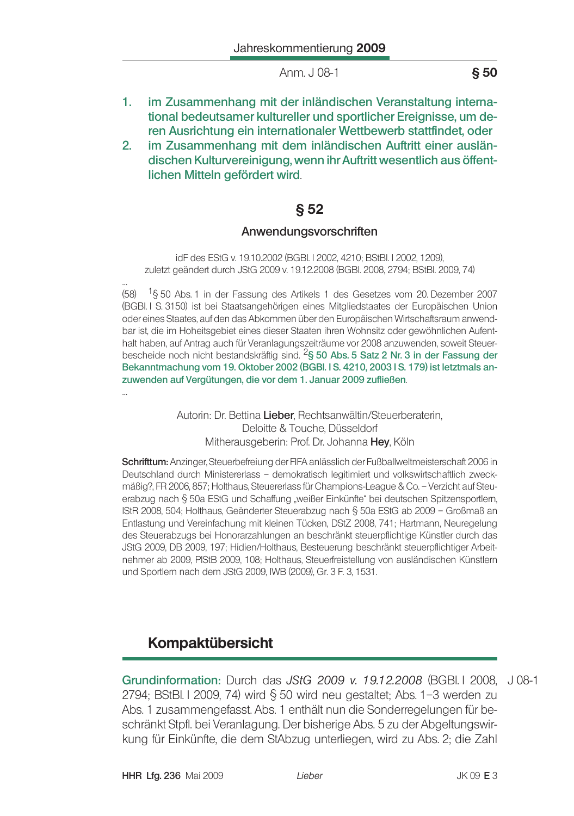- 1. im Zusammenhang mit der inländischen Veranstaltung international bedeutsamer kultureller und sportlicher Ereignisse, um deren Ausrichtung ein internationaler Wettbewerb stattfindet, oder
- $2.$ im Zusammenhang mit dem inländischen Auftritt einer ausländischen Kulturvereinigung, wenn ihr Auftritt wesentlich aus öffentlichen Mitteln gefördert wird.

# $§ 52$

### Anwendungsvorschriften

idF des EStG v. 19.10.2002 (BGBI, I 2002, 4210; BStBI, I 2002, 1209). zuletzt geändert durch JStG 2009 v. 19.12.2008 (BGBI. 2008, 2794; BStBI. 2009, 74)

 $(58)$ <sup>1</sup>§ 50 Abs. 1 in der Fassung des Artikels 1 des Gesetzes vom 20. Dezember 2007 (BGBI. I S. 3150) ist bei Staatsangehörigen eines Mitgliedstaates der Europäischen Union oder eines Staates, auf den das Abkommen über den Europäischen Wirtschaftsraum anwendbar ist, die im Hoheitsgebiet eines dieser Staaten ihren Wohnsitz oder gewöhnlichen Aufenthalt haben, auf Antrag auch für Veranlagungszeiträume vor 2008 anzuwenden, soweit Steuerbescheide noch nicht bestandskräftig sind. <sup>2</sup>§ 50 Abs. 5 Satz 2 Nr. 3 in der Fassung der Bekanntmachung vom 19. Oktober 2002 (BGBI. I S. 4210, 2003 I S. 179) ist letztmals anzuwenden auf Vergütungen, die vor dem 1. Januar 2009 zufließen.

> Autorin: Dr. Bettina Lieber, Rechtsanwältin/Steuerberaterin, Deloitte & Touche, Düsseldorf Mitherausgeberin: Prof. Dr. Johanna Hey, Köln

Schrifttum: Anzinger, Steuerbefreiung der FIFA anlässlich der Fußballweltmeisterschaft 2006 in Deutschland durch Ministererlass - demokratisch legitimiert und volkswirtschaftlich zweckmäßig?, FR 2006, 857; Holthaus, Steuererlass für Champions-League & Co. - Verzicht auf Steuerabzug nach § 50a EStG und Schaffung "weißer Einkünfte" bei deutschen Spitzensportlern, IStR 2008, 504; Holthaus, Geänderter Steuerabzug nach § 50a EStG ab 2009 - Großmaß an Entlastung und Vereinfachung mit kleinen Tücken, DStZ 2008, 741; Hartmann, Neuregelung des Steuerabzugs bei Honorarzahlungen an beschränkt steuerpflichtige Künstler durch das JStG 2009, DB 2009, 197; Hidien/Holthaus, Besteuerung beschränkt steuerpflichtiger Arbeitnehmer ab 2009, PIStB 2009, 108; Holthaus, Steuerfreistellung von ausländischen Künstlern und Sportlern nach dem JStG 2009, IWB (2009), Gr. 3 F. 3, 1531.

# **Kompaktübersicht**

Grundinformation: Durch das JStG 2009 v. 19.12.2008 (BGBI I 2008. J 08-1 2794; BStBl. I 2009, 74) wird  $\S$  50 wird neu gestaltet; Abs. 1-3 werden zu Abs. 1 zusammengefasst. Abs. 1 enthält nun die Sonderregelungen für beschränkt Stpfl. bei Veranlagung. Der bisherige Abs. 5 zu der Abgeltungswirkung für Einkünfte, die dem StAbzug unterliegen, wird zu Abs. 2; die Zahl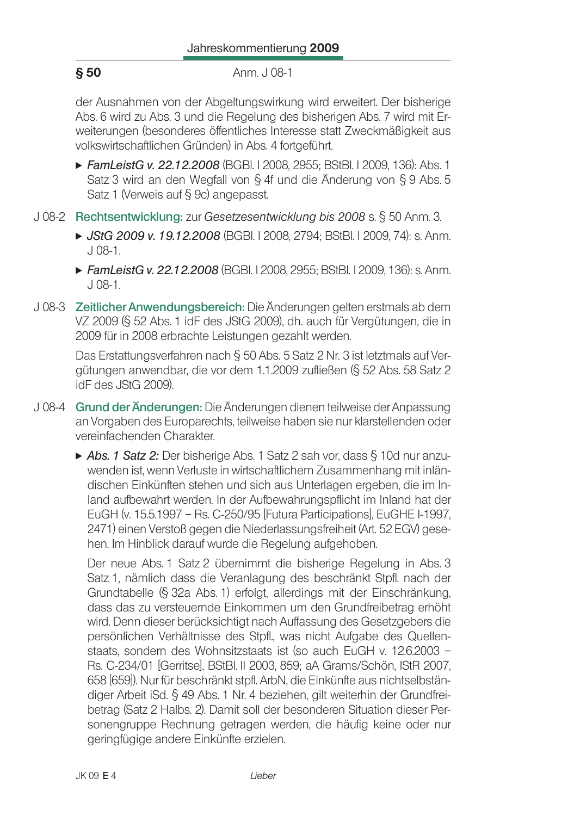der Ausnahmen von der Abgeltungswirkung wird erweitert. Der bisherige Abs. 6 wird zu Abs. 3 und die Regelung des bisherigen Abs. 7 wird mit Erweiterungen (besonderes öffentliches Interesse statt Zweckmäßigkeit aus volkswirtschaftlichen Gründen) in Abs. 4 fortgeführt.

- FamLeistG v. 22.12.2008 (BGBI. I 2008, 2955; BStBI. I 2009, 136): Abs. 1 Satz 3 wird an den Wegfall von § 4f und die Änderung von § 9 Abs. 5 Satz 1 (Verweis auf § 9c) angepasst.
- J 08-2 Rechtsentwicklung: zur Gesetzesentwicklung bis 2008 s. § 50 Anm. 3.
	- ► JStG 2009 v. 19.12.2008 (BGBI. I 2008, 2794; BStBI. I 2009, 74): s. Anm.  $J$  08-1.
	- FamLeistG v. 22.12.2008 (BGBI, 12008, 2955; BStBI, 12009, 136); s. Anm.  $.108-1.$
- J 08-3 Zeitlicher Anwendungsbereich: Die Änderungen gelten erstmals ab dem VZ 2009 (§ 52 Abs. 1 idF des JStG 2009), dh. auch für Vergütungen, die in 2009 für in 2008 erbrachte Leistungen gezahlt werden.

Das Erstattungsverfahren nach § 50 Abs. 5 Satz 2 Nr. 3 ist letztmals auf Vergütungen anwendbar, die vor dem 1.1.2009 zufließen (§ 52 Abs. 58 Satz 2 idF des JStG 2009).

- J08-4 Grund der Änderungen: Die Änderungen dienen teilweise der Anpassung an Vorgaben des Europarechts, teilweise haben sie nur klarstellenden oder vereinfachenden Charakter
	- ▶ Abs. 1 Satz 2: Der bisherige Abs. 1 Satz 2 sah vor, dass § 10d nur anzuwenden ist, wenn Verluste in wirtschaftlichem Zusammenhang mit inländischen Einkünften stehen und sich aus Unterlagen ergeben, die im Inland aufbewahrt werden. In der Aufbewahrungspflicht im Inland hat der EuGH (v. 15.5.1997 - Rs. C-250/95 [Futura Participations], EuGHE I-1997, 2471) einen Verstoß gegen die Niederlassungsfreiheit (Art. 52 EGV) gesehen. Im Hinblick darauf wurde die Regelung aufgehoben.

Der neue Abs. 1 Satz 2 übernimmt die bisherige Regelung in Abs. 3 Satz 1, nämlich dass die Veranlagung des beschränkt Stpfl. nach der Grundtabelle (§ 32a Abs. 1) erfolgt, allerdings mit der Einschränkung, dass das zu versteuernde Einkommen um den Grundfreibetrag erhöht wird. Denn dieser berücksichtigt nach Auffassung des Gesetzgebers die persönlichen Verhältnisse des Stpfl., was nicht Aufgabe des Quellenstaats, sondern des Wohnsitzstaats ist (so auch EuGH v. 12.6.2003 -Rs. C-234/01 [Gerritse], BStBI, II 2003, 859; aA Grams/Schön, IStR 2007. 658 [659]). Nur für beschränkt stpfl. ArbN, die Einkünfte aus nichtselbständiger Arbeit iSd. § 49 Abs. 1 Nr. 4 beziehen, gilt weiterhin der Grundfreibetrag (Satz 2 Halbs, 2). Damit soll der besonderen Situation dieser Personengruppe Rechnung getragen werden, die häufig keine oder nur geringfügige andere Einkünfte erzielen.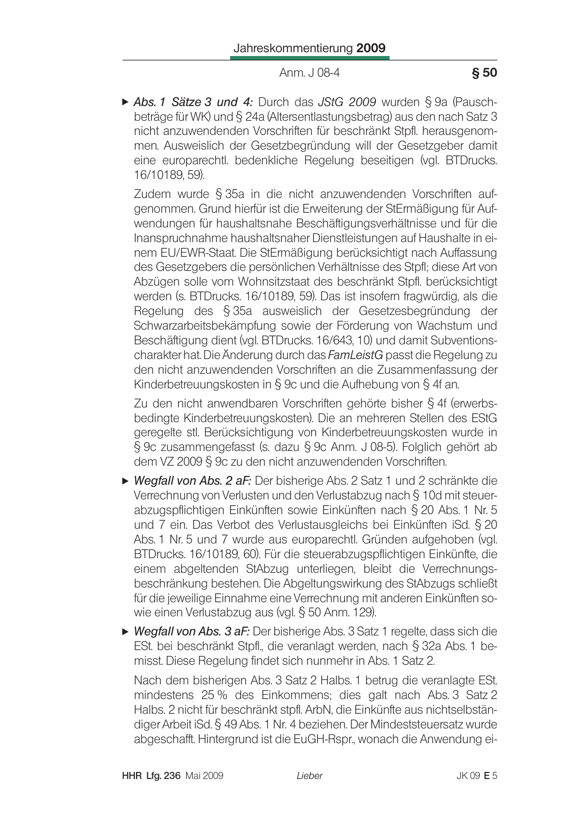Abs. 1 Sätze 3 und 4: Durch das JStG 2009 wurden § 9a (Pauschbeträge für WK) und § 24a (Altersentlastungsbetrag) aus den nach Satz 3 nicht anzuwendenden Vorschriften für beschränkt Stpfl. herausgenommen. Ausweislich der Gesetzbegründung will der Gesetzgeber damit eine europarechtl. bedenkliche Regelung beseitigen (vgl. BTDrucks. 16/10189.59).

Zudem wurde § 35a in die nicht anzuwendenden Vorschriften aufgenommen. Grund hierfür ist die Erweiterung der StErmäßigung für Aufwendungen für haushaltsnahe Beschäftigungsverhältnisse und für die Inanspruchnahme haushaltsnaher Dienstleistungen auf Haushalte in einem EU/EWR-Staat. Die StErmäßigung berücksichtigt nach Auffassung des Gesetzgebers die persönlichen Verhältnisse des Stpfl; diese Art von Abzügen solle vom Wohnsitzstaat des beschränkt Stpfl. berücksichtigt werden (s. BTDrucks, 16/10189, 59). Das ist insofern fragwürdig, als die Regelung des § 35a ausweislich der Gesetzesbegründung der Schwarzarbeitsbekämpfung sowie der Förderung von Wachstum und Beschäftigung dient (vgl. BTDrucks. 16/643, 10) und damit Subventionscharakter hat. Die Änderung durch das FamLeistG passt die Regelung zu den nicht anzuwendenden Vorschriften an die Zusammenfassung der Kinderbetreuungskosten in § 9c und die Aufhebung von § 4f an.

Zu den nicht anwendbaren Vorschriften gehörte bisher § 4f (erwerbsbedingte Kinderbetreuungskosten). Die an mehreren Stellen des EStG geregelte stl. Berücksichtigung von Kinderbetreuungskosten wurde in § 9c zusammengefasst (s. dazu § 9c Anm. J 08-5). Folglich gehört ab dem VZ 2009 § 9c zu den nicht anzuwendenden Vorschriften.

- $\triangleright$  Wegfall von Abs. 2 aF: Der bisherige Abs. 2 Satz 1 und 2 schränkte die Verrechnung von Verlusten und den Verlustabzug nach § 10d mit steuerabzugspflichtigen Einkünften sowie Einkünften nach § 20 Abs. 1 Nr. 5 und 7 ein. Das Verbot des Verlustausgleichs bei Einkünften iSd. § 20 Abs. 1 Nr. 5 und 7 wurde aus europarechtl. Gründen aufgehoben (vgl. BTDrucks. 16/10189, 60). Für die steuerabzugspflichtigen Einkünfte, die einem abgeltenden StAbzug unterliegen, bleibt die Verrechnungsbeschränkung bestehen. Die Abgeltungswirkung des StAbzugs schließt für die jeweilige Einnahme eine Verrechnung mit anderen Einkünften sowie einen Verlustabzug aus (vgl. § 50 Anm. 129).
- $\triangleright$  Wegfall von Abs. 3 aF: Der bisherige Abs. 3 Satz 1 regelte, dass sich die ESt. bei beschränkt Stpfl., die veranlagt werden, nach § 32a Abs. 1 bemisst. Diese Regelung findet sich nunmehr in Abs. 1 Satz 2.

Nach dem bisherigen Abs. 3 Satz 2 Halbs. 1 betrug die veranlagte ESt. mindestens 25 % des Einkommens; dies galt nach Abs. 3 Satz 2 Halbs. 2 nicht für beschränkt stpfl. ArbN, die Einkünfte aus nichtselbständiger Arbeit iSd. § 49 Abs. 1 Nr. 4 beziehen. Der Mindeststeuersatz wurde abgeschafft. Hintergrund ist die EuGH-Rspr., wonach die Anwendung ei-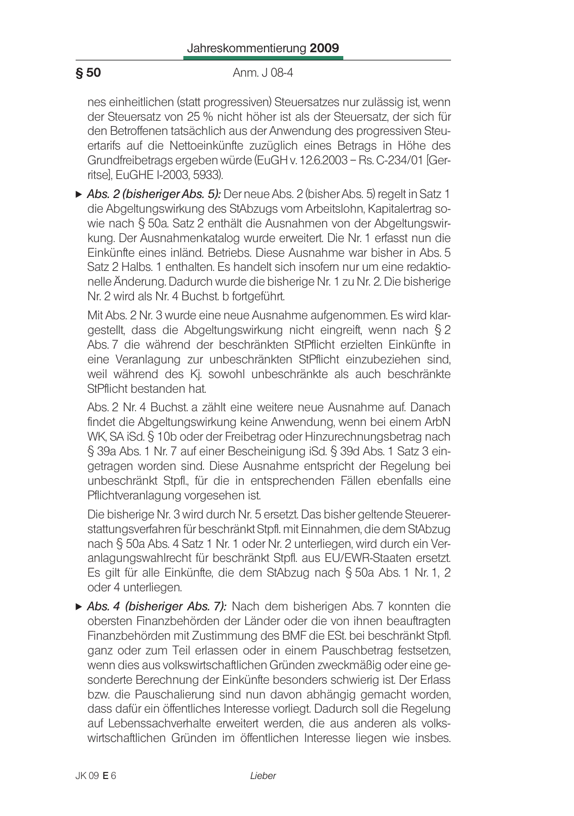### Anm. J 08-4

nes einheitlichen (statt progressiven) Steuersatzes nur zulässig ist, wenn der Steuersatz von 25 % nicht höher ist als der Steuersatz, der sich für den Betroffenen tatsächlich aus der Anwendung des progressiven Steuertarifs auf die Nettoeinkünfte zuzüglich eines Betrags in Höhe des Grundfreibetrags ergeben würde (EuGH v. 12.6.2003 - Rs. C-234/01 [Gerritse], EuGHE I-2003, 5933).

Abs. 2 (bisheriger Abs. 5): Der neue Abs. 2 (bisher Abs. 5) regelt in Satz 1 die Abgeltungswirkung des StAbzugs vom Arbeitslohn, Kapitalertrag sowie nach § 50a. Satz 2 enthält die Ausnahmen von der Abgeltungswirkung. Der Ausnahmenkatalog wurde erweitert. Die Nr. 1 erfasst nun die Einkünfte eines inländ. Betriebs. Diese Ausnahme war bisher in Abs. 5 Satz 2 Halbs 1 enthalten Es handelt sich insofern nur um eine redaktionelle Änderung. Dadurch wurde die bisherige Nr. 1 zu Nr. 2. Die bisherige Nr. 2 wird als Nr. 4 Buchst, b fortgeführt.

Mit Abs. 2 Nr. 3 wurde eine neue Ausnahme aufgenommen. Es wird klargestellt, dass die Abgeltungswirkung nicht eingreift, wenn nach § 2 Abs. 7 die während der beschränkten StPflicht erzielten Einkünfte in eine Veranlagung zur unbeschränkten StPflicht einzubeziehen sind, weil während des Kj. sowohl unbeschränkte als auch beschränkte StPflicht bestanden hat.

Abs. 2 Nr. 4 Buchst, a zählt eine weitere neue Ausnahme auf. Danach findet die Abgeltungswirkung keine Anwendung, wenn bei einem ArbN WK, SA iSd. § 10b oder der Freibetrag oder Hinzurechnungsbetrag nach § 39a Abs. 1 Nr. 7 auf einer Bescheinigung iSd. § 39d Abs. 1 Satz 3 eingetragen worden sind. Diese Ausnahme entspricht der Regelung bei unbeschränkt Stpfl., für die in entsprechenden Fällen ebenfalls eine Pflichtveranlagung vorgesehen ist.

Die bisherige Nr. 3 wird durch Nr. 5 ersetzt. Das bisher geltende Steuererstattungsverfahren für beschränkt Stpfl. mit Einnahmen, die dem StAbzug nach § 50a Abs. 4 Satz 1 Nr. 1 oder Nr. 2 unterliegen, wird durch ein Veranlagungswahlrecht für beschränkt Stpfl. aus EU/EWR-Staaten ersetzt. Es gilt für alle Einkünfte, die dem StAbzug nach § 50a Abs. 1 Nr. 1, 2 oder 4 unterliegen.

Abs. 4 (bisheriger Abs. 7): Nach dem bisherigen Abs. 7 konnten die obersten Finanzbehörden der Länder oder die von ihnen beauftragten Finanzbehörden mit Zustimmung des BMF die ESt. bei beschränkt Stpfl. ganz oder zum Teil erlassen oder in einem Pauschbetrag festsetzen, wenn dies aus volkswirtschaftlichen Gründen zweckmäßig oder eine gesonderte Berechnung der Einkünfte besonders schwierig ist. Der Erlass bzw. die Pauschalierung sind nun davon abhängig gemacht worden, dass dafür ein öffentliches Interesse vorliegt. Dadurch soll die Regelung auf Lebenssachverhalte erweitert werden, die aus anderen als volkswirtschaftlichen Gründen im öffentlichen Interesse liegen wie insbes.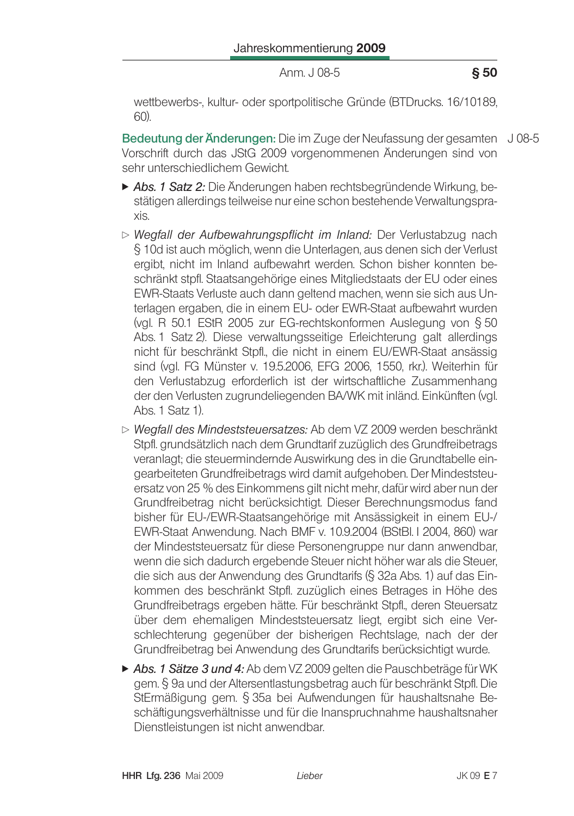wettbewerbs-, kultur- oder sportpolitische Gründe (BTDrucks. 16/10189, 60)

Bedeutung der Änderungen: Die im Zuge der Neufassung der gesamten J 08-5 Vorschrift durch das JStG 2009 vorgenommenen Änderungen sind von sehr unterschiedlichem Gewicht.

- > Abs. 1 Satz 2: Die Änderungen haben rechtsbegründende Wirkung, bestätigen allerdings teilweise nur eine schon bestehende Verwaltungspraxis.
- ▷ Wegfall der Aufbewahrungspflicht im Inland: Der Verlustabzug nach § 10d ist auch möglich, wenn die Unterlagen, aus denen sich der Verlust ergibt, nicht im Inland aufbewahrt werden. Schon bisher konnten beschränkt stpfl. Staatsangehörige eines Mitgliedstaats der EU oder eines EWR-Staats Verluste auch dann geltend machen, wenn sie sich aus Unterlagen ergaben, die in einem EU- oder EWR-Staat aufbewahrt wurden (val. R 50.1 EStR 2005 zur EG-rechtskonformen Ausleauna von § 50 Abs. 1 Satz 2). Diese verwaltungsseitige Erleichterung galt allerdings nicht für beschränkt Stpfl., die nicht in einem EU/EWR-Staat ansässig sind (vgl. FG Münster v. 19.5.2006, EFG 2006, 1550, rkr.). Weiterhin für den Verlustabzug erforderlich ist der wirtschaftliche Zusammenhang der den Verlusten zugrundeliegenden BA/WK mit inländ. Einkünften (vgl. Abs. 1 Satz 1).
- ▷ Wegfall des Mindeststeuersatzes: Ab dem VZ 2009 werden beschränkt Stpfl. grundsätzlich nach dem Grundtarif zuzüglich des Grundfreibetrags veranlagt: die steuermindernde Auswirkung des in die Grundtabelle eingearbeiteten Grundfreibetrags wird damit aufgehoben. Der Mindeststeuersatz von 25 % des Einkommens gilt nicht mehr, dafür wird aber nun der Grundfreibetrag nicht berücksichtigt. Dieser Berechnungsmodus fand bisher für EU-/EWR-Staatsangehörige mit Ansässigkeit in einem EU-/ EWR-Staat Anwendung. Nach BMF v. 10.9.2004 (BStBI. I 2004, 860) war der Mindeststeuersatz für diese Personengruppe nur dann anwendbar. wenn die sich dadurch ergebende Steuer nicht höher war als die Steuer. die sich aus der Anwendung des Grundtarifs (§ 32a Abs. 1) auf das Einkommen des beschränkt Stpfl. zuzüglich eines Betrages in Höhe des Grundfreibetrags ergeben hätte. Für beschränkt Stpfl., deren Steuersatz über dem ehemaligen Mindeststeuersatz liegt, ergibt sich eine Verschlechterung gegenüber der bisherigen Rechtslage, nach der der Grundfreibetrag bei Anwendung des Grundtarifs berücksichtigt wurde.
- Abs. 1 Sätze 3 und 4: Ab dem VZ 2009 gelten die Pauschbeträge für WK gem. § 9a und der Altersentlastungsbetrag auch für beschränkt Stpfl. Die StErmäßigung gem. § 35a bei Aufwendungen für haushaltsnahe Beschäftigungsverhältnisse und für die Inanspruchnahme haushaltsnaher Dienstleistungen ist nicht anwendbar.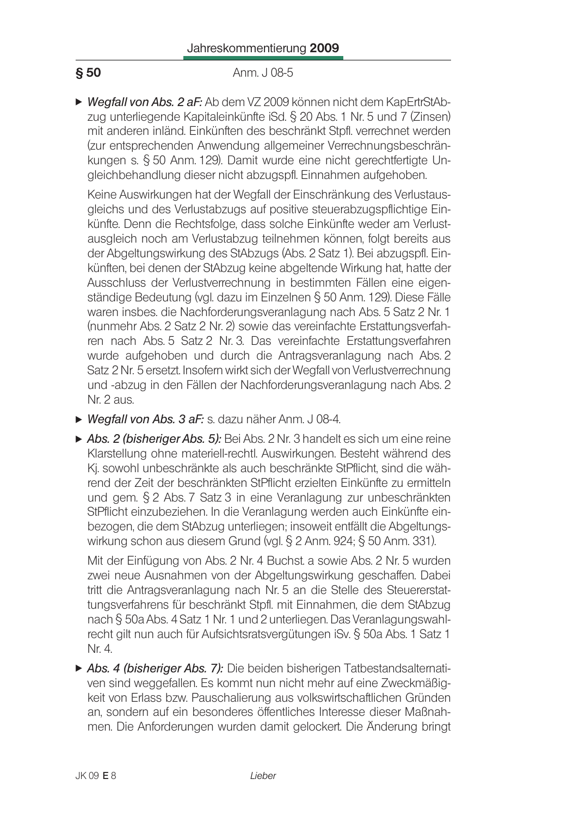### **S** 50 Anm. J 08-5

 $\triangleright$  Wegfall von Abs. 2 aF: Ab dem VZ 2009 können nicht dem KapErtrStAbzug unterliegende Kapitaleinkünfte iSd,  $\S 20$  Abs, 1 Nr, 5 und 7 (Zinsen) mit anderen inländ. Einkünften des beschränkt Stofl, verrechnet werden (zur entsprechenden Anwendung allgemeiner Verrechnungsbeschränkungen s. § 50 Anm. 129). Damit wurde eine nicht gerechtfertigte Ungleichbehandlung dieser nicht abzugspfl. Einnahmen aufgehoben.

Keine Auswirkungen hat der Wegfall der Einschränkung des Verlustausgleichs und des Verlustabzugs auf positive steuerabzugspflichtige Einkünfte. Denn die Rechtsfolge, dass solche Einkünfte weder am Verlustausgleich noch am Verlustabzug teilnehmen können, folgt bereits aus der Abgeltungswirkung des StAbzugs (Abs. 2 Satz 1). Bei abzugspfl. Einkünften, bei denen der StAbzug keine abgeltende Wirkung hat, hatte der Ausschluss der Verlustverrechnung in bestimmten Fällen eine eigenständige Bedeutung (vgl. dazu im Einzelnen § 50 Anm. 129). Diese Fälle waren insbes, die Nachforderungsveranlagung nach Abs. 5 Satz 2 Nr. 1 (nunmehr Abs. 2 Satz 2 Nr. 2) sowie das vereinfachte Erstattungsverfahren nach Abs. 5 Satz 2 Nr. 3. Das vereinfachte Erstattungsverfahren wurde aufgehoben und durch die Antragsveranlagung nach Abs. 2 Satz 2 Nr. 5 ersetzt. Insofern wirkt sich der Wegfall von Verlustverrechnung und -abzug in den Fällen der Nachforderungsveranlagung nach Abs. 2 Nr. 2 aus.

- $\triangleright$  Weafall von Abs. 3 aF: s. dazu näher Anm. J 08-4.
- ▶ Abs. 2 (bisheriger Abs. 5): Bei Abs. 2 Nr. 3 handelt es sich um eine reine Klarstellung ohne materiell-rechtl. Auswirkungen. Besteht während des Ki, sowohl unbeschränkte als auch beschränkte StPflicht, sind die während der Zeit der beschränkten StPflicht erzielten Einkünfte zu ermitteln und gem. § 2 Abs. 7 Satz 3 in eine Veranlagung zur unbeschränkten StPflicht einzubeziehen. In die Veranlagung werden auch Einkünfte einbezogen, die dem StAbzug unterliegen; insoweit entfällt die Abgeltungswirkung schon aus diesem Grund (vgl.  $\S 2$  Anm. 924;  $\S 50$  Anm. 331).

Mit der Einfügung von Abs. 2 Nr. 4 Buchst. a sowie Abs. 2 Nr. 5 wurden zwei neue Ausnahmen von der Abgeltungswirkung geschaffen. Dabei tritt die Antragsveranlagung nach Nr. 5 an die Stelle des Steuererstattungsverfahrens für beschränkt Stpfl. mit Einnahmen, die dem StAbzug nach  $\S$  50a Abs. 4 Satz 1 Nr. 1 und 2 unterliegen. Das Veranlagungswahlrecht gilt nun auch für Aufsichtsratsvergütungen iSv.  $\S$  50a Abs. 1 Satz 1 Nr. 4.

• Abs. 4 (bisheriger Abs. 7): Die beiden bisherigen Tatbestandsalternativen sind weggefallen. Es kommt nun nicht mehr auf eine Zweckmäßigkeit von Erlass bzw. Pauschalierung aus volkswirtschaftlichen Gründen an, sondern auf ein besonderes öffentliches Interesse dieser Maßnahmen. Die Anforderungen wurden damit gelockert. Die Änderung bringt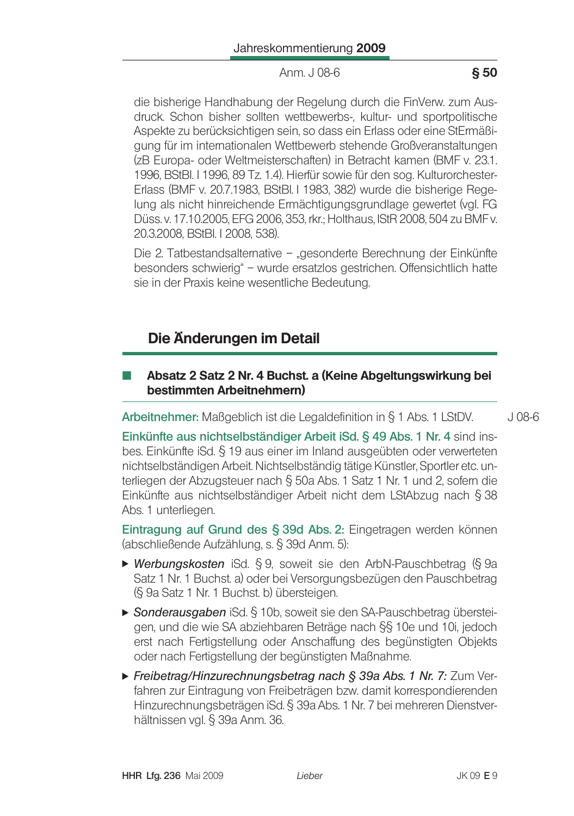$§ 50$ 

die bisherige Handhabung der Regelung durch die FinVerw. zum Ausdruck. Schon bisher sollten wettbewerbs-, kultur- und sportpolitische Aspekte zu berücksichtigen sein, so dass ein Erlass oder eine StErmäßigung für im internationalen Wettbewerb stehende Großveranstaltungen (zB Europa- oder Weltmeisterschaften) in Betracht kamen (BMF v. 23.1. 1996, BStBl. I 1996, 89 Tz. 1.4). Hierfür sowie für den sog. Kulturorchester-Erlass (BMF v. 20.7.1983, BStBl. I 1983, 382) wurde die bisherige Regelung als nicht hinreichende Ermächtigungsgrundlage gewertet (vgl. FG Düss. v. 17.10.2005, EFG 2006, 353, rkr.; Holthaus, IStR 2008, 504 zu BMF v. 20.3.2008. BStBI. I 2008. 538).

Die 2. Tatbestandsalternative - "gesonderte Berechnung der Einkünfte besonders schwierig" – wurde ersatzlos gestrichen. Offensichtlich hatte sie in der Praxis keine wesentliche Bedeutung.

# Die Änderungen im Detail

## Absatz 2 Satz 2 Nr. 4 Buchst. a (Keine Abgeltungswirkung bei bestimmten Arbeitnehmern)

**Arbeitnehmer:** Maßgeblich ist die Legaldefinition in  $\S$  1 Abs. 1 LStDV.

 $J$  08-6

Einkünfte aus nichtselbständiger Arbeit iSd. § 49 Abs. 1 Nr. 4 sind insbes. Einkünfte iSd. § 19 aus einer im Inland ausgeübten oder verwerteten nichtselbständigen Arbeit. Nichtselbständig tätige Künstler, Sportler etc. unterliegen der Abzugsteuer nach § 50a Abs. 1 Satz 1 Nr. 1 und 2, sofern die Einkünfte aus nichtselbständiger Arbeit nicht dem LStAbzug nach § 38 Abs. 1 unterliegen.

Eintragung auf Grund des § 39d Abs. 2: Eingetragen werden können (abschließende Aufzählung, s. § 39d Anm. 5):

- ► Werbungskosten iSd. § 9, soweit sie den ArbN-Pauschbetrag (§ 9a Satz 1 Nr. 1 Buchst. a) oder bei Versorgungsbezügen den Pauschbetrag (§ 9a Satz 1 Nr. 1 Buchst. b) übersteigen.
- ► Sonderausgaben iSd. § 10b, soweit sie den SA-Pauschbetrag übersteigen, und die wie SA abziehbaren Beträge nach §§ 10e und 10i, jedoch erst nach Fertigstellung oder Anschaffung des begünstigten Objekts oder nach Fertigstellung der begünstigten Maßnahme.
- Freibetrag/Hinzurechnungsbetrag nach § 39a Abs. 1 Nr. 7: Zum Verfahren zur Eintragung von Freibeträgen bzw. damit korrespondierenden Hinzurechnungsbeträgen iSd. § 39a Abs. 1 Nr. 7 bei mehreren Dienstverhältnissen vgl. § 39a Anm. 36.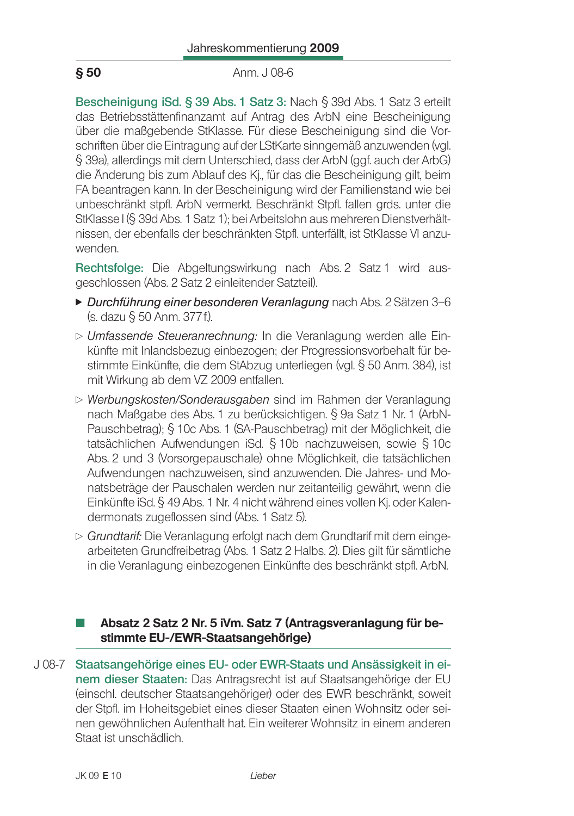### **S 50** Anm. J 08-6

Bescheinigung iSd. § 39 Abs. 1 Satz 3: Nach § 39d Abs. 1 Satz 3 erteilt das Betriebsstättenfinanzamt auf Antrag des ArbN eine Bescheinigung über die maßgebende StKlasse. Für diese Bescheinigung sind die Vorschriften über die Eintragung auf der LStKarte sinngemäß anzuwenden (vgl. § 39a), allerdings mit dem Unterschied, dass der ArbN (ggf, auch der ArbG) die Änderung bis zum Ablauf des Kj., für das die Bescheinigung gilt, beim FA beantragen kann. In der Bescheinigung wird der Familienstand wie bei unbeschränkt stpfl. ArbN vermerkt. Beschränkt Stpfl, fallen grds, unter die StKlasse I (§ 39d Abs. 1 Satz 1): bei Arbeitslohn aus mehreren Dienstverhältnissen, der ebenfalls der beschränkten Stpfl. unterfällt, ist StKlasse VI anzuwenden

Rechtsfolge: Die Abgeltungswirkung nach Abs. 2 Satz 1 wird ausgeschlossen (Abs. 2 Satz 2 einleitender Satzteil).

- ▶ Durchführung einer besonderen Veranlagung nach Abs. 2 Sätzen 3-6 (s. dazu § 50 Anm. 377 f.).
- $\triangleright$  Umfassende Steueranrechnung: In die Veranlagung werden alle Einkünfte mit Inlandsbezug einbezogen; der Progressionsvorbehalt für bestimmte Einkünfte, die dem StAbzug unterliegen (vgl. § 50 Anm. 384), ist mit Wirkung ab dem VZ 2009 entfallen.
- $\triangleright$  Werbungskosten/Sonderausgaben sind im Rahmen der Veranlagung nach Maßgabe des Abs. 1 zu berücksichtigen. § 9a Satz 1 Nr. 1 (ArbN-Pauschbetrag); § 10c Abs. 1 (SA-Pauschbetrag) mit der Möglichkeit, die tatsächlichen Aufwendungen iSd. § 10b nachzuweisen, sowie § 10c Abs. 2 und 3 (Vorsorgepauschale) ohne Möglichkeit, die tatsächlichen Aufwendungen nachzuweisen, sind anzuwenden. Die Jahres- und Monatsbeträge der Pauschalen werden nur zeitanteilig gewährt, wenn die Einkünfte iSd. § 49 Abs. 1 Nr. 4 nicht während eines vollen Kj. oder Kalendermonats zugeflossen sind (Abs. 1 Satz 5).
- $\triangleright$  Grundtarif: Die Veranlagung erfolgt nach dem Grundtarif mit dem eingearbeiteten Grundfreibetrag (Abs. 1 Satz 2 Halbs. 2). Dies gilt für sämtliche in die Veranlagung einbezogenen Einkünfte des beschränkt stofl. ArbN.

## Absatz 2 Satz 2 Nr. 5 iVm. Satz 7 (Antragsveranlagung für bestimmte EU-/EWR-Staatsangehörige)

J 08-7 Staatsangehörige eines EU- oder EWR-Staats und Ansässigkeit in einem dieser Staaten: Das Antragsrecht ist auf Staatsangehörige der EU (einschl. deutscher Staatsangehöriger) oder des EWR beschränkt, soweit der Stpfl. im Hoheitsgebiet eines dieser Staaten einen Wohnsitz oder seinen gewöhnlichen Aufenthalt hat. Ein weiterer Wohnsitz in einem anderen Staat ist unschädlich.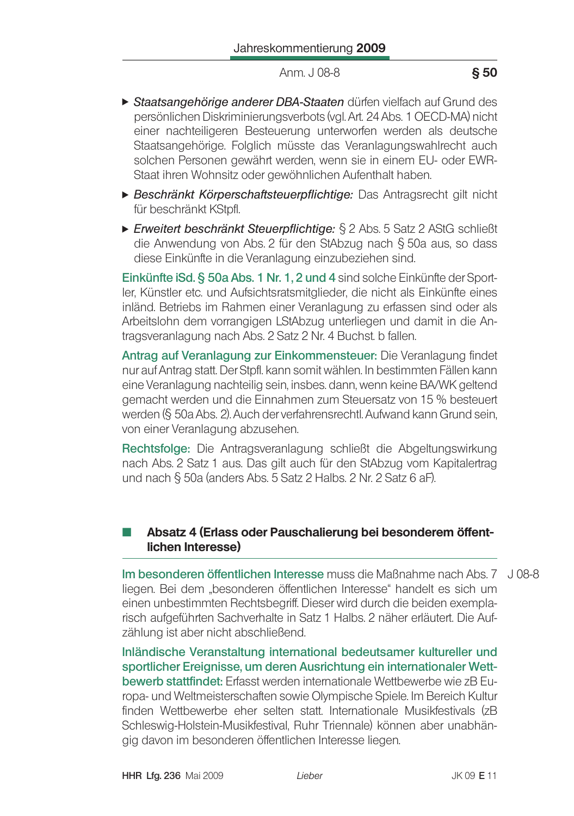- Staatsangehörige anderer DBA-Staaten dürfen vielfach auf Grund des persönlichen Diskriminierungsverbots (val. Art. 24 Abs. 1 OECD-MA) nicht einer nachteiligeren Besteuerung unterworfen werden als deutsche Staatsangehörige. Folglich müsste das Veranlagungswahlrecht auch solchen Personen gewährt werden, wenn sie in einem EU- oder EWR-Staat ihren Wohnsitz oder gewöhnlichen Aufenthalt haben.
- Beschränkt Körperschaftsteuerpflichtige: Das Antragsrecht gilt nicht für beschränkt KStpfl.
- ► Erweitert beschränkt Steuerpflichtige: § 2 Abs. 5 Satz 2 AStG schließt die Anwendung von Abs. 2 für den StAbzug nach § 50a aus, so dass diese Einkünfte in die Veranlagung einzubeziehen sind.

Einkünfte iSd. § 50a Abs. 1 Nr. 1, 2 und 4 sind solche Einkünfte der Sportler, Künstler etc. und Aufsichtsratsmitglieder, die nicht als Einkünfte eines inländ. Betriebs im Rahmen einer Veranlagung zu erfassen sind oder als Arbeitslohn dem vorrangigen LStAbzug unterliegen und damit in die Antragsveranlagung nach Abs. 2 Satz 2 Nr. 4 Buchst. b fallen.

Antrag auf Veranlagung zur Einkommensteuer: Die Veranlagung findet nur auf Antrag statt. Der Stpfl. kann somit wählen. In bestimmten Fällen kann eine Veranlagung nachteilig sein, insbes. dann, wenn keine BA/WK geltend gemacht werden und die Einnahmen zum Steuersatz von 15 % besteuert werden (§ 50a Abs. 2). Auch der verfahrensrechtl. Aufwand kann Grund sein, von einer Veranlagung abzusehen.

Rechtsfolge: Die Antragsveranlagung schließt die Abgeltungswirkung nach Abs. 2 Satz 1 aus. Das gilt auch für den StAbzug vom Kapitalertrag und nach § 50a (anders Abs. 5 Satz 2 Halbs. 2 Nr. 2 Satz 6 aF).

## Absatz 4 (Erlass oder Pauschalierung bei besonderem öffentlichen Interesse)

Im besonderen öffentlichen Interesse muss die Maßnahme nach Abs. 7 J 08-8 liegen. Bei dem "besonderen öffentlichen Interesse" handelt es sich um einen unbestimmten Rechtsbegriff. Dieser wird durch die beiden exemplarisch aufgeführten Sachverhalte in Satz 1 Halbs. 2 näher erläutert. Die Aufzählung ist aber nicht abschließend.

Inländische Veranstaltung international bedeutsamer kultureller und sportlicher Ereignisse, um deren Ausrichtung ein internationaler Wettbewerb stattfindet: Erfasst werden internationale Wettbewerbe wie zB Europa- und Weltmeisterschaften sowie Olympische Spiele. Im Bereich Kultur finden Wettbewerbe eher selten statt. Internationale Musikfestivals (zB Schleswig-Holstein-Musikfestival, Ruhr Triennale) können aber unabhänaig davon im besonderen öffentlichen Interesse liegen.